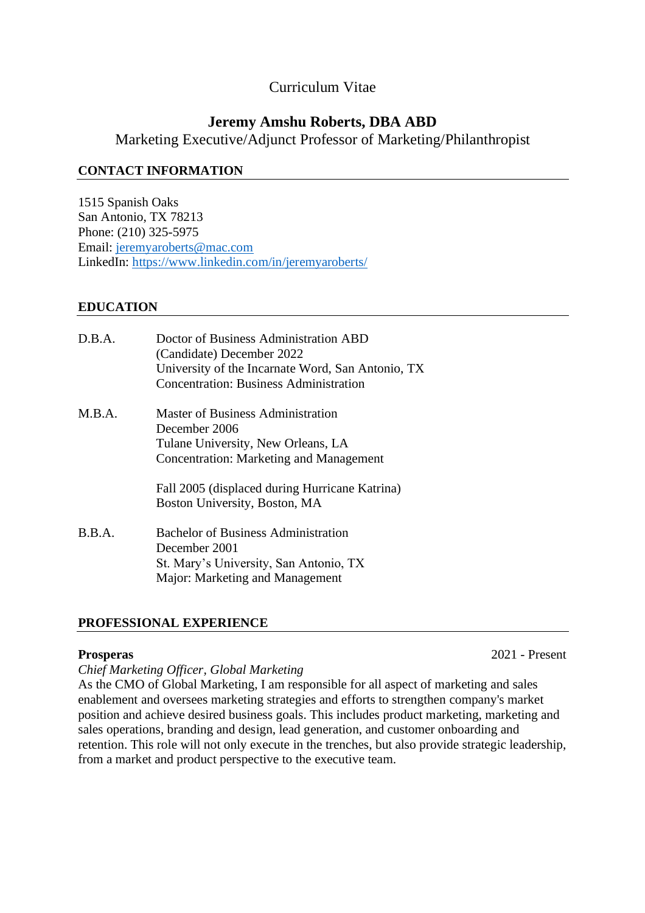# Curriculum Vitae

# **Jeremy Amshu Roberts, DBA ABD**

Marketing Executive/Adjunct Professor of Marketing/Philanthropist

# **CONTACT INFORMATION**

1515 Spanish Oaks San Antonio, TX 78213 Phone: (210) 325-5975 Email: [jeremyaroberts@mac.com](mailto:jeremyaroberts@mac.com) LinkedIn: <https://www.linkedin.com/in/jeremyaroberts/>

# **EDUCATION**

| D.B.A. | Doctor of Business Administration ABD<br>(Candidate) December 2022<br>University of the Incarnate Word, San Antonio, TX<br><b>Concentration: Business Administration</b> |
|--------|--------------------------------------------------------------------------------------------------------------------------------------------------------------------------|
| M.B.A. | <b>Master of Business Administration</b><br>December 2006<br>Tulane University, New Orleans, LA<br><b>Concentration: Marketing and Management</b>                        |
|        | Fall 2005 (displaced during Hurricane Katrina)<br>Boston University, Boston, MA                                                                                          |
| B.B.A. | <b>Bachelor of Business Administration</b><br>December 2001<br>St. Mary's University, San Antonio, TX<br>Major: Marketing and Management                                 |

# **PROFESSIONAL EXPERIENCE**

**Prosperas** 2021 - Present

## *Chief Marketing Officer, Global Marketing*

As the CMO of Global Marketing, I am responsible for all aspect of marketing and sales enablement and oversees marketing strategies and efforts to strengthen company's market position and achieve desired business goals. This includes product marketing, marketing and sales operations, branding and design, lead generation, and customer onboarding and retention. This role will not only execute in the trenches, but also provide strategic leadership, from a market and product perspective to the executive team.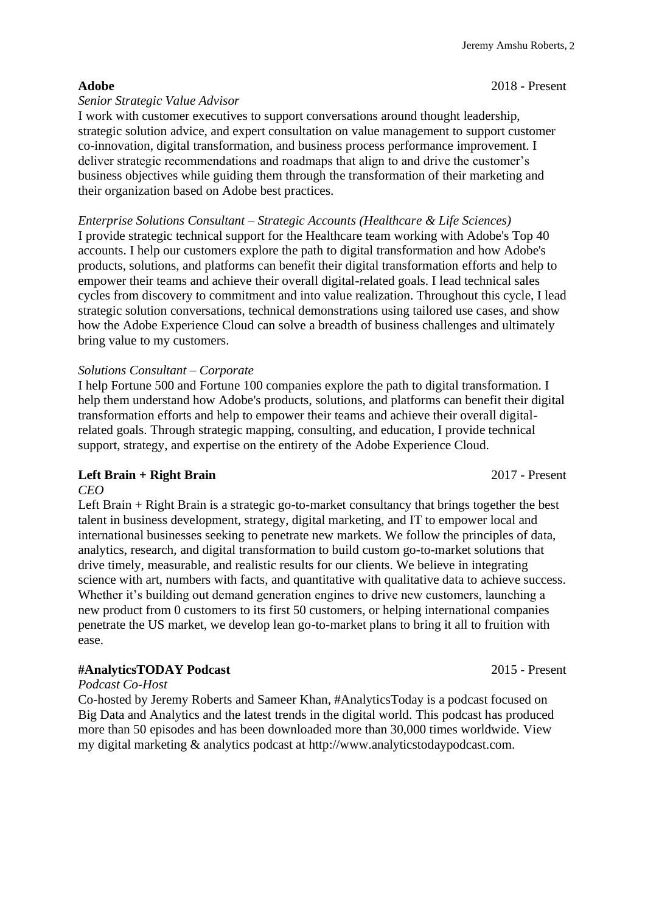### **Adobe** 2018 - Present

## *Senior Strategic Value Advisor*

I work with customer executives to support conversations around thought leadership, strategic solution advice, and expert consultation on value management to support customer co-innovation, digital transformation, and business process performance improvement. I deliver strategic recommendations and roadmaps that align to and drive the customer's business objectives while guiding them through the transformation of their marketing and their organization based on Adobe best practices.

## *Enterprise Solutions Consultant – Strategic Accounts (Healthcare & Life Sciences)*

I provide strategic technical support for the Healthcare team working with Adobe's Top 40 accounts. I help our customers explore the path to digital transformation and how Adobe's products, solutions, and platforms can benefit their digital transformation efforts and help to empower their teams and achieve their overall digital-related goals. I lead technical sales cycles from discovery to commitment and into value realization. Throughout this cycle, I lead strategic solution conversations, technical demonstrations using tailored use cases, and show how the Adobe Experience Cloud can solve a breadth of business challenges and ultimately bring value to my customers.

## *Solutions Consultant – Corporate*

I help Fortune 500 and Fortune 100 companies explore the path to digital transformation. I help them understand how Adobe's products, solutions, and platforms can benefit their digital transformation efforts and help to empower their teams and achieve their overall digitalrelated goals. Through strategic mapping, consulting, and education, I provide technical support, strategy, and expertise on the entirety of the Adobe Experience Cloud.

## **Left Brain + Right Brain** 2017 - Present

### *CEO*

Left Brain + Right Brain is a strategic go-to-market consultancy that brings together the best talent in business development, strategy, digital marketing, and IT to empower local and international businesses seeking to penetrate new markets. We follow the principles of data, analytics, research, and digital transformation to build custom go-to-market solutions that drive timely, measurable, and realistic results for our clients. We believe in integrating science with art, numbers with facts, and quantitative with qualitative data to achieve success. Whether it's building out demand generation engines to drive new customers, launching a new product from 0 customers to its first 50 customers, or helping international companies penetrate the US market, we develop lean go-to-market plans to bring it all to fruition with ease.

## **#AnalyticsTODAY Podcast** 2015 - Present

### *Podcast Co-Host*

Co-hosted by Jeremy Roberts and Sameer Khan, #AnalyticsToday is a podcast focused on Big Data and Analytics and the latest trends in the digital world. This podcast has produced more than 50 episodes and has been downloaded more than 30,000 times worldwide. View my digital marketing & analytics podcast at [http://www.analyticstodaypodcast.com.](http://www.analyticstodaypodcast.com/)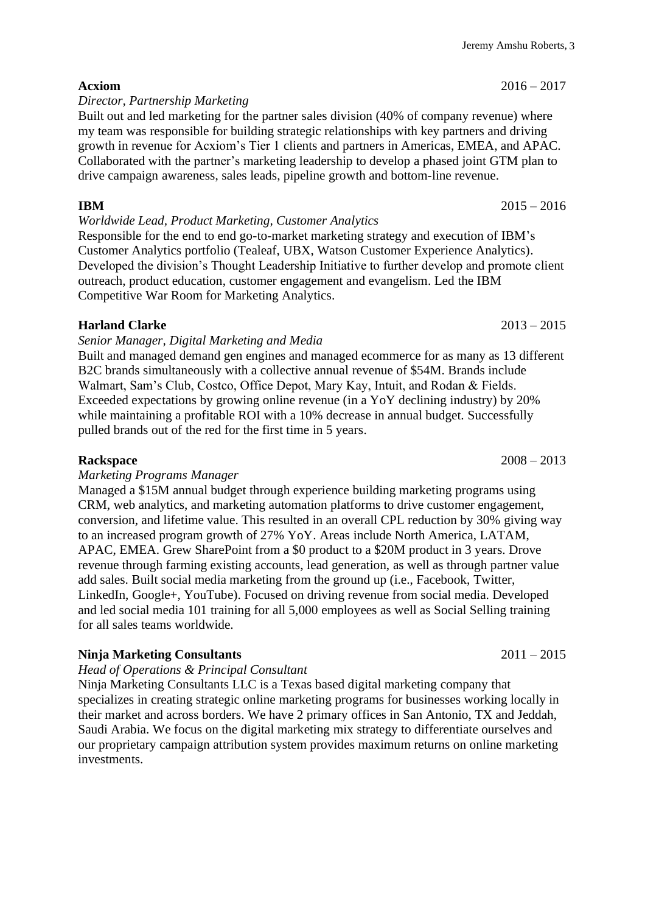**Acxiom** 2016 – 2017

*Director, Partnership Marketing*

Built out and led marketing for the partner sales division (40% of company revenue) where my team was responsible for building strategic relationships with key partners and driving growth in revenue for Acxiom's Tier 1 clients and partners in Americas, EMEA, and APAC. Collaborated with the partner's marketing leadership to develop a phased joint GTM plan to drive campaign awareness, sales leads, pipeline growth and bottom-line revenue.

*Worldwide Lead, Product Marketing, Customer Analytics* Responsible for the end to end go-to-market marketing strategy and execution of IBM's Customer Analytics portfolio (Tealeaf, UBX, Watson Customer Experience Analytics).

Developed the division's Thought Leadership Initiative to further develop and promote client outreach, product education, customer engagement and evangelism. Led the IBM Competitive War Room for Marketing Analytics.

## **Harland Clarke** 2013 – 2015

*Senior Manager, Digital Marketing and Media*

Built and managed demand gen engines and managed ecommerce for as many as 13 different B2C brands simultaneously with a collective annual revenue of \$54M. Brands include Walmart, Sam's Club, Costco, Office Depot, Mary Kay, Intuit, and Rodan & Fields. Exceeded expectations by growing online revenue (in a YoY declining industry) by 20% while maintaining a profitable ROI with a 10% decrease in annual budget. Successfully pulled brands out of the red for the first time in 5 years.

## *Marketing Programs Manager*

Managed a \$15M annual budget through experience building marketing programs using CRM, web analytics, and marketing automation platforms to drive customer engagement, conversion, and lifetime value. This resulted in an overall CPL reduction by 30% giving way to an increased program growth of 27% YoY. Areas include North America, LATAM, APAC, EMEA. Grew SharePoint from a \$0 product to a \$20M product in 3 years. Drove revenue through farming existing accounts, lead generation, as well as through partner value add sales. Built social media marketing from the ground up (i.e., Facebook, Twitter, LinkedIn, Google+, YouTube). Focused on driving revenue from social media. Developed and led social media 101 training for all 5,000 employees as well as Social Selling training for all sales teams worldwide.

## **Ninja Marketing Consultants** 2011 – 2015

## *Head of Operations & Principal Consultant*

Ninja Marketing Consultants LLC is a Texas based digital marketing company that specializes in creating strategic online marketing programs for businesses working locally in their market and across borders. We have 2 primary offices in San Antonio, TX and Jeddah, Saudi Arabia. We focus on the digital marketing mix strategy to differentiate ourselves and our proprietary campaign attribution system provides maximum returns on online marketing investments.

## **IBM** 2015 – 2016

**Rackspace** 2008 – 2013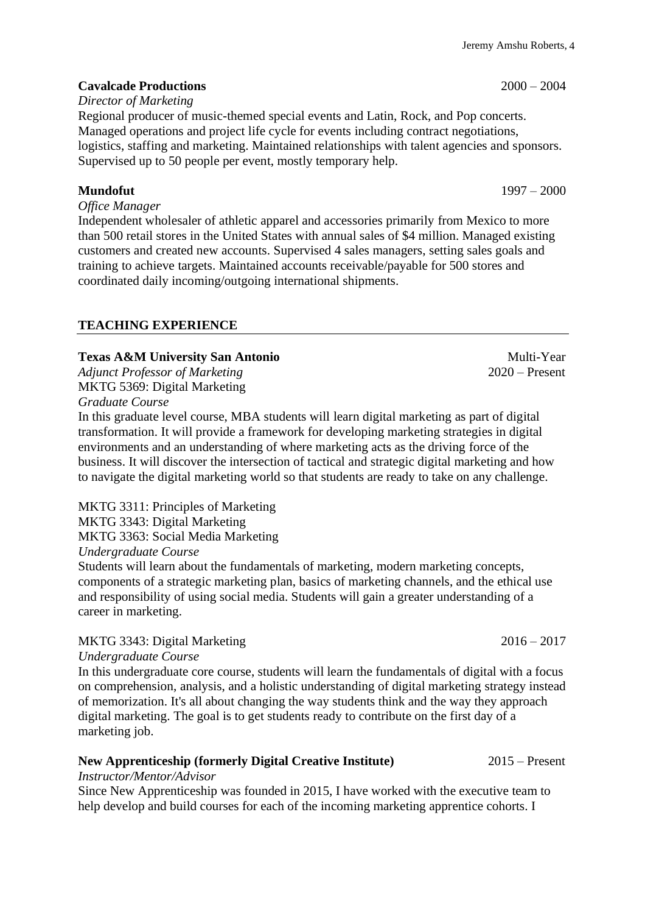# **Cavalcade Productions** 2000 – 2004

# *Director of Marketing*

Regional producer of music-themed special events and Latin, Rock, and Pop concerts. Managed operations and project life cycle for events including contract negotiations, logistics, staffing and marketing. Maintained relationships with talent agencies and sponsors. Supervised up to 50 people per event, mostly temporary help.

# **Mundofut** 1997 – 2000

*Office Manager*

Independent wholesaler of athletic apparel and accessories primarily from Mexico to more than 500 retail stores in the United States with annual sales of \$4 million. Managed existing customers and created new accounts. Supervised 4 sales managers, setting sales goals and training to achieve targets. Maintained accounts receivable/payable for 500 stores and coordinated daily incoming/outgoing international shipments.

# **TEACHING EXPERIENCE**

# **Texas A&M University San Antonio** Multi-Year Multi-Year

*Adjunct Professor of Marketing* 2020 – Present MKTG 5369: Digital Marketing

*Graduate Course*

In this graduate level course, MBA students will learn digital marketing as part of digital transformation. It will provide a framework for developing marketing strategies in digital environments and an understanding of where marketing acts as the driving force of the business. It will discover the intersection of tactical and strategic digital marketing and how to navigate the digital marketing world so that students are ready to take on any challenge.

MKTG 3311: Principles of Marketing MKTG 3343: Digital Marketing MKTG 3363: Social Media Marketing

*Undergraduate Course*

Students will learn about the fundamentals of marketing, modern marketing concepts, components of a strategic marketing plan, basics of marketing channels, and the ethical use and responsibility of using social media. Students will gain a greater understanding of a career in marketing.

# MKTG 3343: Digital Marketing 2016 – 2017

*Undergraduate Course*

In this undergraduate core course, students will learn the fundamentals of digital with a focus on comprehension, analysis, and a holistic understanding of digital marketing strategy instead of memorization. It's all about changing the way students think and the way they approach digital marketing. The goal is to get students ready to contribute on the first day of a marketing job.

# **New Apprenticeship (formerly Digital Creative Institute)** 2015 – Present

*Instructor/Mentor/Advisor* 

Since New Apprenticeship was founded in 2015, I have worked with the executive team to help develop and build courses for each of the incoming marketing apprentice cohorts. I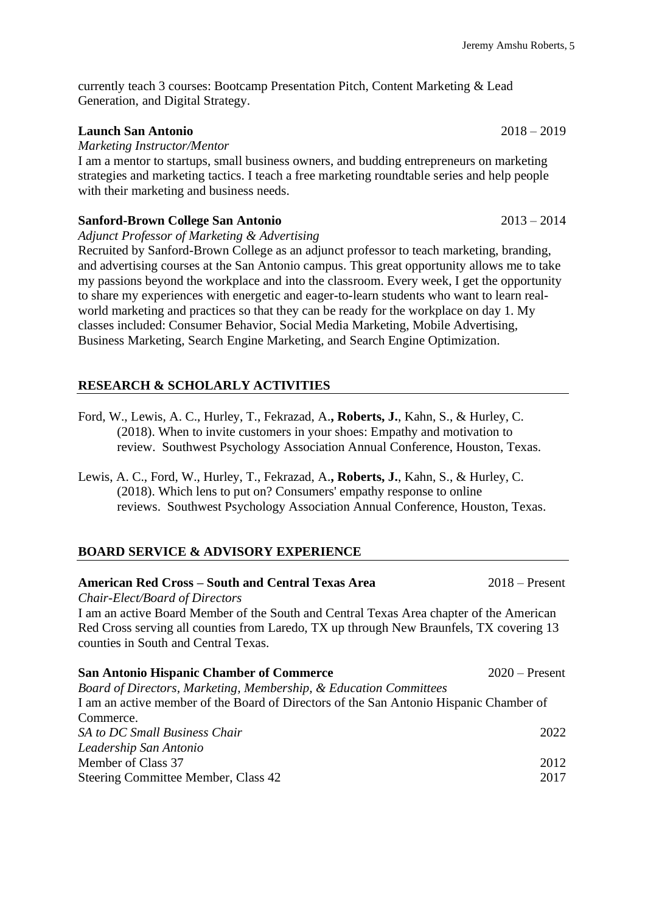currently teach 3 courses: Bootcamp Presentation Pitch, Content Marketing & Lead Generation, and Digital Strategy.

## **Launch San Antonio** 2018 – 2019

*Marketing Instructor/Mentor*

I am a mentor to startups, small business owners, and budding entrepreneurs on marketing strategies and marketing tactics. I teach a free marketing roundtable series and help people with their marketing and business needs.

## **Sanford-Brown College San Antonio** 2013 – 2014

*Adjunct Professor of Marketing & Advertising* 

Recruited by Sanford-Brown College as an adjunct professor to teach marketing, branding, and advertising courses at the San Antonio campus. This great opportunity allows me to take my passions beyond the workplace and into the classroom. Every week, I get the opportunity to share my experiences with energetic and eager-to-learn students who want to learn realworld marketing and practices so that they can be ready for the workplace on day 1. My classes included: Consumer Behavior, Social Media Marketing, Mobile Advertising, Business Marketing, Search Engine Marketing, and Search Engine Optimization.

## **RESEARCH & SCHOLARLY ACTIVITIES**

- Ford, W., Lewis, A. C., Hurley, T., Fekrazad, A.**, Roberts, J.**, Kahn, S., & Hurley, C. (2018). When to invite customers in your shoes: Empathy and motivation to review. Southwest Psychology Association Annual Conference, Houston, Texas.
- Lewis, A. C., Ford, W., Hurley, T., Fekrazad, A.**, Roberts, J.**, Kahn, S., & Hurley, C. (2018). Which lens to put on? Consumers' empathy response to online reviews. Southwest Psychology Association Annual Conference, Houston, Texas.

## **BOARD SERVICE & ADVISORY EXPERIENCE**

| <b>American Red Cross – South and Central Texas Area</b>                                                                        | $2018$ – Present |
|---------------------------------------------------------------------------------------------------------------------------------|------------------|
| Chair-Elect/Board of Directors                                                                                                  |                  |
| I am an active Board Member of the South and Central Texas Area chapter of the American                                         |                  |
| Red Cross serving all counties from Laredo, TX up through New Braunfels, TX covering 13<br>counties in South and Central Texas. |                  |
| <b>San Antonio Hispanic Chamber of Commerce</b>                                                                                 | $2020$ – Present |
| Board of Directors, Marketing, Membership, & Education Committees                                                               |                  |
| I am an active member of the Board of Directors of the San Antonio Hispanic Chamber of                                          |                  |
| Commerce.                                                                                                                       |                  |
| SA to DC Small Business Chair                                                                                                   | 2022             |
| Leadership San Antonio                                                                                                          |                  |
| Member of Class 37                                                                                                              | 2012             |
| Steering Committee Member, Class 42                                                                                             | 2017             |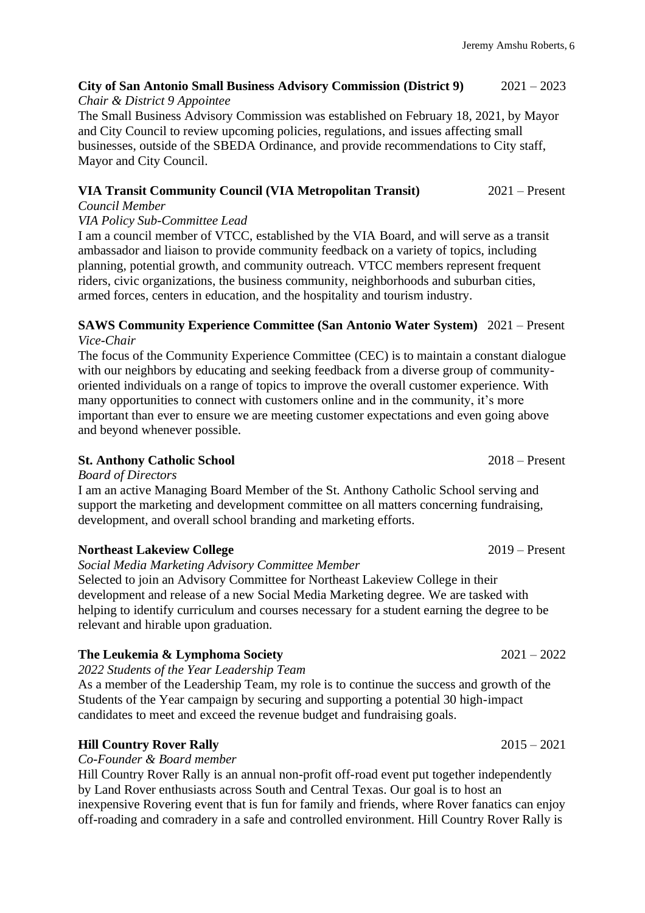# **City of San Antonio Small Business Advisory Commission (District 9)** 2021 – 2023

# *Chair & District 9 Appointee*

The Small Business Advisory Commission was established on February 18, 2021, by Mayor and City Council to review upcoming policies, regulations, and issues affecting small businesses, outside of the SBEDA Ordinance, and provide recommendations to City staff, Mayor and City Council.

# **VIA Transit Community Council (VIA Metropolitan Transit)** 2021 – Present

# *Council Member*

# *VIA Policy Sub-Committee Lead*

I am a council member of VTCC, established by the VIA Board, and will serve as a transit ambassador and liaison to provide community feedback on a variety of topics, including planning, potential growth, and community outreach. VTCC members represent frequent riders, civic organizations, the business community, neighborhoods and suburban cities, armed forces, centers in education, and the hospitality and tourism industry.

# **SAWS Community Experience Committee (San Antonio Water System)** 2021 – Present *Vice-Chair*

The focus of the Community Experience Committee (CEC) is to maintain a constant dialogue with our neighbors by educating and seeking feedback from a diverse group of communityoriented individuals on a range of topics to improve the overall customer experience. With many opportunities to connect with customers online and in the community, it's more important than ever to ensure we are meeting customer expectations and even going above and beyond whenever possible.

# **St. Anthony Catholic School** 2018 – Present

# *Board of Directors*

I am an active Managing Board Member of the St. Anthony Catholic School serving and support the marketing and development committee on all matters concerning fundraising, development, and overall school branding and marketing efforts.

# **Northeast Lakeview College** 2019 – Present

# *Social Media Marketing Advisory Committee Member*

Selected to join an Advisory Committee for Northeast Lakeview College in their development and release of a new Social Media Marketing degree. We are tasked with helping to identify curriculum and courses necessary for a student earning the degree to be relevant and hirable upon graduation.

# **The Leukemia & Lymphoma Society** 2021 – 2022

*2022 Students of the Year Leadership Team*

As a member of the Leadership Team, my role is to continue the success and growth of the Students of the Year campaign by securing and supporting a potential 30 high-impact candidates to meet and exceed the revenue budget and fundraising goals.

# **Hill Country Rover Rally** 2015 – 2021

# *Co-Founder & Board member*

Hill Country Rover Rally is an annual non-profit off-road event put together independently by Land Rover enthusiasts across South and Central Texas. Our goal is to host an inexpensive Rovering event that is fun for family and friends, where Rover fanatics can enjoy off-roading and comradery in a safe and controlled environment. Hill Country Rover Rally is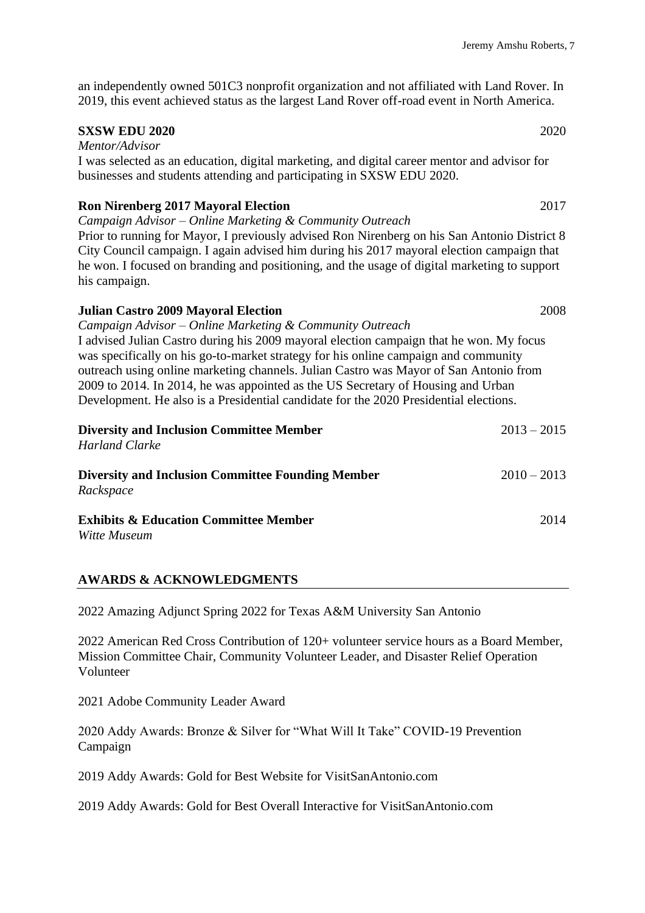an independently owned 501C3 nonprofit organization and not affiliated with Land Rover. In 2019, this event achieved status as the largest Land Rover off-road event in North America.

## **SXSW EDU 2020** 2020

*Mentor/Advisor*  I was selected as an education, digital marketing, and digital career mentor and advisor for businesses and students attending and participating in SXSW EDU 2020.

## **Ron Nirenberg 2017 Mayoral Election** 2017

*Campaign Advisor – Online Marketing & Community Outreach* Prior to running for Mayor, I previously advised Ron Nirenberg on his San Antonio District 8 City Council campaign. I again advised him during his 2017 mayoral election campaign that he won. I focused on branding and positioning, and the usage of digital marketing to support his campaign.

# **Julian Castro 2009 Mayoral Election** 2008 *Campaign Advisor – Online Marketing & Community Outreach* I advised Julian Castro during his 2009 mayoral election campaign that he won. My focus was specifically on his go-to-market strategy for his online campaign and community outreach using online marketing channels. Julian Castro was Mayor of San Antonio from 2009 to 2014. In 2014, he was appointed as the US Secretary of Housing and Urban Development. He also is a Presidential candidate for the 2020 Presidential elections. **Diversity and Inclusion Committee Member** 2013 – 2015 *Harland Clarke* **Diversity and Inclusion Committee Founding Member** 2010 – 2013 *Rackspace*

## **Exhibits & Education Committee Member** 2014

*Witte Museum*

## **AWARDS & ACKNOWLEDGMENTS**

2022 Amazing Adjunct Spring 2022 for Texas A&M University San Antonio

2022 American Red Cross Contribution of 120+ volunteer service hours as a Board Member, Mission Committee Chair, Community Volunteer Leader, and Disaster Relief Operation Volunteer

2021 Adobe Community Leader Award

2020 Addy Awards: Bronze & Silver for "What Will It Take" COVID-19 Prevention Campaign

2019 Addy Awards: Gold for Best Website for VisitSanAntonio.com

2019 Addy Awards: Gold for Best Overall Interactive for VisitSanAntonio.com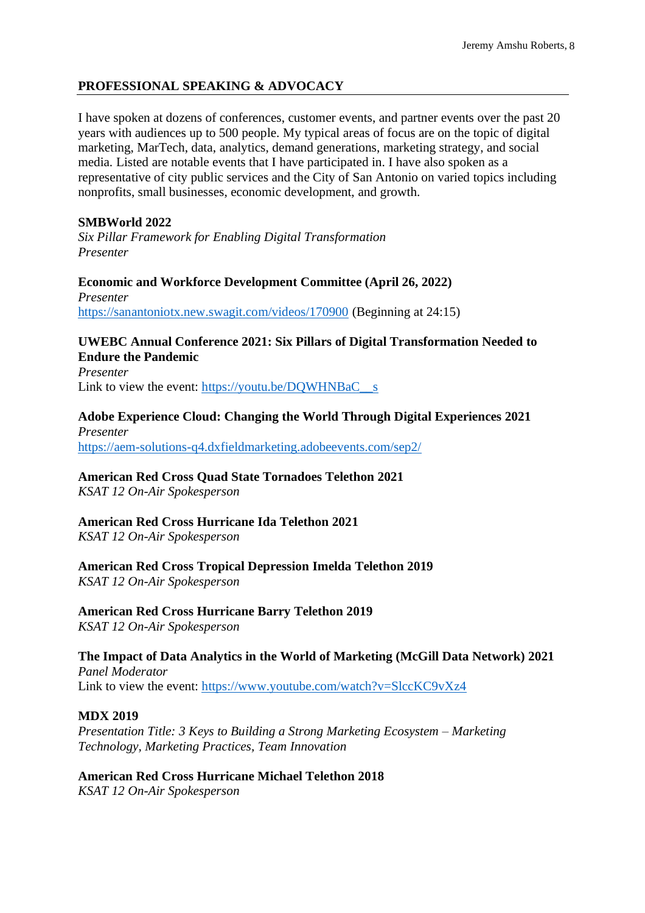## **PROFESSIONAL SPEAKING & ADVOCACY**

I have spoken at dozens of conferences, customer events, and partner events over the past 20 years with audiences up to 500 people. My typical areas of focus are on the topic of digital marketing, MarTech, data, analytics, demand generations, marketing strategy, and social media. Listed are notable events that I have participated in. I have also spoken as a representative of city public services and the City of San Antonio on varied topics including nonprofits, small businesses, economic development, and growth.

## **SMBWorld 2022**

*Six Pillar Framework for Enabling Digital Transformation Presenter*

**Economic and Workforce Development Committee (April 26, 2022)** *Presenter* <https://sanantoniotx.new.swagit.com/videos/170900> (Beginning at 24:15)

## **UWEBC Annual Conference 2021: Six Pillars of Digital Transformation Needed to Endure the Pandemic**

*Presenter* Link to view the event: https://youtu.be/DOWHNBaC  $\,$  s

# **Adobe Experience Cloud: Changing the World Through Digital Experiences 2021**

*Presenter* <https://aem-solutions-q4.dxfieldmarketing.adobeevents.com/sep2/>

## **American Red Cross Quad State Tornadoes Telethon 2021**

*KSAT 12 On-Air Spokesperson*

## **American Red Cross Hurricane Ida Telethon 2021**

*KSAT 12 On-Air Spokesperson*

**American Red Cross Tropical Depression Imelda Telethon 2019** *KSAT 12 On-Air Spokesperson*

# **American Red Cross Hurricane Barry Telethon 2019**

*KSAT 12 On-Air Spokesperson*

## **The Impact of Data Analytics in the World of Marketing (McGill Data Network) 2021**

*Panel Moderator* Link to view the event:<https://www.youtube.com/watch?v=SlccKC9vXz4>

## **MDX 2019**

*Presentation Title: 3 Keys to Building a Strong Marketing Ecosystem – Marketing Technology, Marketing Practices, Team Innovation*

**American Red Cross Hurricane Michael Telethon 2018** *KSAT 12 On-Air Spokesperson*